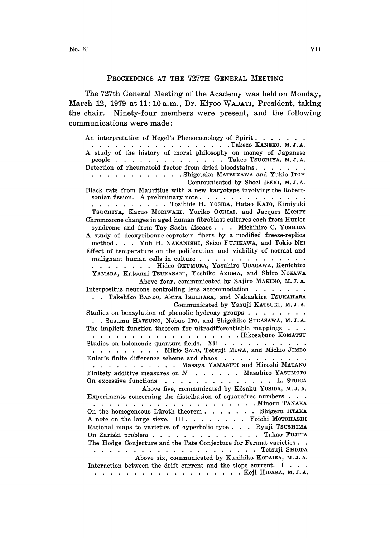## PROCEEDINGS AT THE 727TH GENERAL MEETING

The 727th General Meeting of the Academy was held on Monday, March 12, 1979 at 11:10 a.m., Dr. Kiyoo WADATI, President, taking the chair. Ninety-four members were present, and the following communications were made:

An interpretation of Hegel's Phenomenology of Spirit. . . . . . . . . . . . . . . . . . . . . Takezo KANEKO, M.J.A. A study of the history of moral philosophy on money of Japanese people  $\ldots$ ,  $\ldots$ ,  $\ldots$ ,  $\ldots$ ,  $\ldots$ ,  $\ldots$  Takeo TSUCHIYA, M. J. A. Detection of rheumatoid factor from dried bloodstains. . . . . . . . . . . . . . . . . . Shigetaka MATSUZAWA and Yukio ITOH Communicated by Shoei ISEKI, M.J.A. Black rats from Mauritius with a new karyotype involving the Robertsonian fission. A preliminary note Tosihide H. YOSIDA, Hatao KATO, Kimiyuki TSUCHIYA, Kazuo MORIWAKI, Yuriko OCHIAI, and Jacques MONTY Chromosome changes in aged human fibroblast cultures each from Hurler syndrome and from Tay Sachs disease... Michihiro C. YOSHIDA A study of deoxyribonucleoprotein fibers by <sup>a</sup> modified freeze-replica method. . . Yuh H. NAKANISHI, Seizo FUJIKAWA, and Tokio NEI Effect of temperature on the poliferation and viability of normal and malignant human cells in culture . . . . . . . . . . . . . . . . . . . . . . Hideo OKUMURA, Yasuhiro UDAGAWA, Kenichiro YAMADA, Katsumi TSUKASAKI, Yoshiko AZUMA, and Shiro NOZAWA Above four, communicated by Sajiro MAKINO, M.J.A. Interpositus neurons controlling lens accommodation . . . . . . . Takehiko BANDO, Akira ISHIHARA, and Nakaakira TSUKAHARA Communicated by Yasuji KATSUKI, M.J.A. Studies on benzylation of phenolic hydroxy groups . . . . . . . . . . Susumu HATSUNO, Nobuo ITO, and Shigehiko SUGASAWA, M.J.A. The implicit function theorem for ultradifferentiable mappings  $\ldots$ . . . . . . . . . . . . . . . . . . Hikosaburo KOMATSU Studies on holonomic quantum fields. XII . . . . . . . . . . . . . . . . . Mikio SATO, Tetsuji MIWA, and Michio JIMBO Euler's finite difference scheme and chaos . . . . . . . . . . . . . . . . . . . . . Masaya YAMAGUTI and Hiroshi MATANO Finitely additive measures on  $N$  . . . . . Masahiro YASUMOTO On excessive functions . . . . . . . . . . . . . . L. STOICA Above five, communicated by K6saku YOSIDA, M. J. A. Experiments concerning the distribution of squarefree numbers  $\cdots$ Minoru TANAI On the homogeneous Lüroth theorem  $\ldots$ ,  $\ldots$ , Shigeru IITAKA A note on the large sieve. III  $\ldots$ ,  $\ldots$ ,  $\ldots$  Yoichi MOTOHASHI Rational maps to varieties of hyperbolic type  $\ldots$ . Ryuji TSUSHIMA On Zariski problem . . . . . . . . . . . . . Takao FUJITA The Hodge Conjecture and the Tate Conjecture for Fermat varieties... Tetsuji SHIODA Above six, communicated by Kunihiko KODAIRA, M. J. A. Interaction between the drift current and the slope current. I . . . . . . . . . . . . . . . . . . . . . Koji HIDAKA, M. J. A.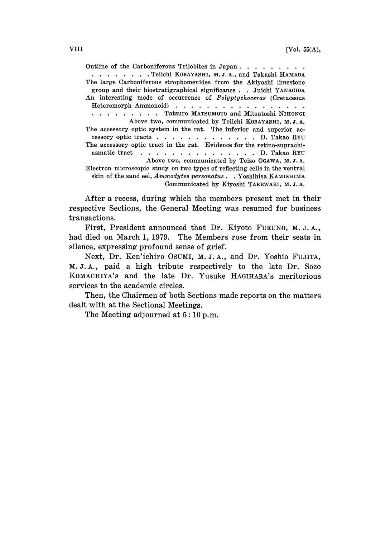Outline of the Carboniferous Trilobites in Japan. . . . . . . . . . . . . . . . Teiichi KOBAYASHI, M.J.A., and Takashi HAMADA The large Carboniferous strophomenides from the Akiyoshi limestone group and their biostratigraphical significance . . Juichi YANAGIDA An interesting mode of occurrence of Polyptychoceras (Cretaceous Heteromorph Ammonoid) . . . . . . . . . . . . . . . . . . . . . . Tatsuro MATSUMOTO and Mitsutoshi NIHONGI Above two, communicated by Teiichi KOBAYASHI, M.J.A. The accessory optic system in the rat. The inferior and superior accessory optic tracts . . . . . . . . . . . . D. Takao RYU The accessory optic tract in the rat. Evidence for the retino-suprachiasmatic tract . . . . . . . . . . . . . . D. Takao RYU Above two, communicated by Teizo OGAWA, M.J.A. Electron microscopic study on two types of reflecting cells in the ventral skin of the sand eel, Ammodytes personatus . Yoshihisa KAMISHIMA Communicated by Kiyoshi TAKEWAKI, M.J.A.

After a recess, during which the members present met in their respective Sections, the General Meeting was resumed for business transactions.

First, President announced that Dr. Kiyoto FURUNO, M.J.A., had died on March 1, 1979. The Members rose from their seats in silence, expressing profound sense of grief.

Next, Dr. Ken'ichiro OsuM, M.J.A., and Dr. Yoshio FUJITA, M.J.A., paid a high tribute respectively to the late Dr. Sozo KOMACHIYA'S and the late Dr. Yusuke HAGIHARA'S meritorious services to the academic circles.

Then, the Chairmen of both Sections made reports on the matters dealt with at the Sectional Meetings.

The Meeting adjourned at  $5: 10 \text{ p.m.}$